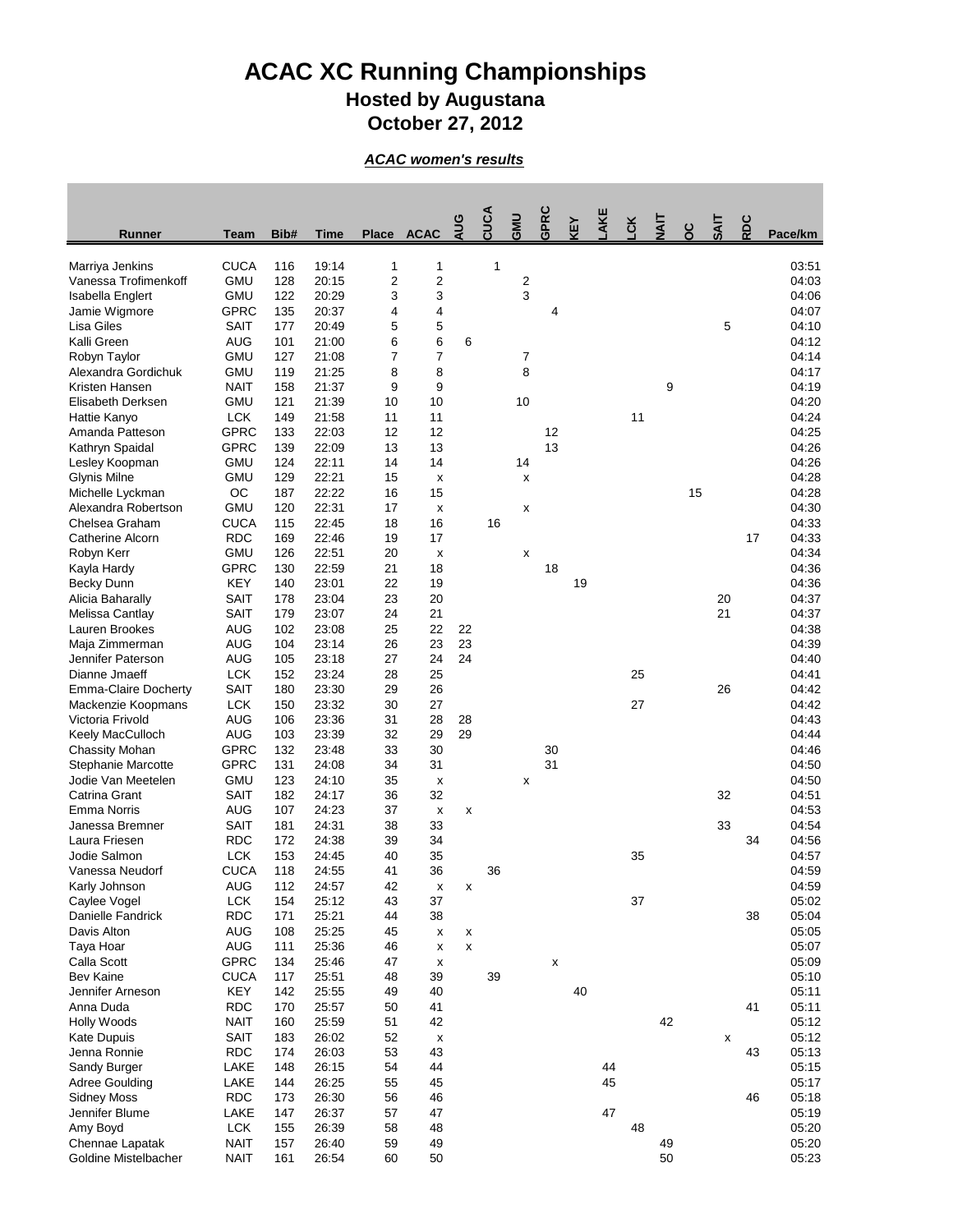## **ACAC XC Running Championships Hosted by Augustana October 27, 2012**

*ACAC women's results*

| <b>CUCA</b><br>19:14<br>1<br>03:51<br>116<br>1<br>1<br>$\overline{\mathbf{c}}$<br><b>GMU</b><br>$\overline{2}$<br>2<br>128<br>20:15<br>04:03<br>3<br>3<br>3<br><b>GMU</b><br>122<br>20:29<br>04:06<br>Isabella Englert<br><b>GPRC</b><br>4<br>135<br>20:37<br>04:07<br>4<br>4<br>5<br>5<br>5<br><b>SAIT</b><br>177<br>20:49<br>04:10<br>6<br>6<br>6<br><b>AUG</b><br>21:00<br>04:12<br>101<br>21:08<br>$\overline{7}$<br><b>GMU</b><br>127<br>7<br>7<br>04:14<br>8<br>8<br>21:25<br>8<br><b>GMU</b><br>04:17<br>119<br>$\boldsymbol{9}$<br>9<br><b>NAIT</b><br>158<br>21:37<br>9<br>04:19<br>10<br>10<br><b>GMU</b><br>21:39<br>10<br>04:20<br>121<br><b>LCK</b><br>21:58<br>11<br>11<br>11<br>04:24<br>149<br>12<br><b>GPRC</b><br>133<br>22:03<br>12<br>12<br>04:25<br>13<br>13<br><b>GPRC</b><br>139<br>22:09<br>13<br>04:26<br><b>GMU</b><br>22:11<br>14<br>14<br>14<br>04:26<br>124<br><b>Glynis Milne</b><br><b>GMU</b><br>129<br>22:21<br>15<br>04:28<br>X<br>X<br>OC<br>22:22<br>16<br>15<br>15<br>187<br>04:28<br><b>GMU</b><br>22:31<br>120<br>17<br>04:30<br>X<br>X<br><b>CUCA</b><br>16<br>16<br>Chelsea Graham<br>22:45<br>18<br>04:33<br>115<br><b>RDC</b><br><b>Catherine Alcorn</b><br>169<br>22:46<br>19<br>17<br>17<br>04:33<br><b>GMU</b><br>Robyn Kerr<br>126<br>22:51<br>20<br>04:34<br>X<br>X<br><b>GPRC</b><br>18<br>130<br>22:59<br>21<br>18<br>04:36<br>Kayla Hardy<br><b>KEY</b><br>23:01<br>22<br>19<br>19<br>04:36<br><b>Becky Dunn</b><br>140<br><b>SAIT</b><br>23:04<br>23<br>20<br>20<br>04:37<br>Alicia Baharally<br>178<br>21<br><b>SAIT</b><br>23:07<br>21<br>04:37<br>Melissa Cantlay<br>179<br>24<br>22<br>Lauren Brookes<br><b>AUG</b><br>23:08<br>25<br>04:38<br>102<br>22<br>Maja Zimmerman<br><b>AUG</b><br>23:14<br>26<br>23<br>23<br>04:39<br>104<br>24<br>Jennifer Paterson<br><b>AUG</b><br>23:18<br>27<br>24<br>04:40<br>105<br>25<br>Dianne Jmaeff<br><b>LCK</b><br>152<br>23:24<br>28<br>25<br>04:41<br>26<br><b>Emma-Claire Docherty</b><br><b>SAIT</b><br>180<br>23:30<br>29<br>26<br>04:42<br><b>LCK</b><br>23:32<br>30<br>27<br>27<br>04:42<br>Mackenzie Koopmans<br>150<br>Victoria Frivold<br><b>AUG</b><br>23:36<br>31<br>28<br>04:43<br>106<br>28<br><b>AUG</b><br>29<br>Keely MacCulloch<br>103<br>23:39<br>32<br>29<br>04:44<br><b>GPRC</b><br>33<br>30<br>04:46<br>132<br>23:48<br>30<br><b>Chassity Mohan</b><br><b>GPRC</b><br>31<br>31<br>04:50<br>131<br>24:08<br>34<br>Stephanie Marcotte<br><b>GMU</b><br>24:10<br>35<br>04:50<br>Jodie Van Meetelen<br>123<br>X<br>X<br>32<br>32<br>Catrina Grant<br><b>SAIT</b><br>182<br>24:17<br>36<br>04:51<br><b>AUG</b><br>24:23<br>04:53<br><b>Emma Norris</b><br>107<br>37<br>X<br>X<br>33<br><b>SAIT</b><br>24:31<br>38<br>33<br>04:54<br>Janessa Bremner<br>181<br>Laura Friesen<br><b>RDC</b><br>172<br>24:38<br>39<br>34<br>34<br>04:56<br>Jodie Salmon<br><b>LCK</b><br>153<br>40<br>35<br>04:57<br>24:45<br>35<br><b>CUCA</b><br>118<br>24:55<br>41<br>36<br>36<br>04:59<br>Vanessa Neudorf<br><b>AUG</b><br>112<br>24:57<br>42<br>04:59<br>Karly Johnson<br>$\pmb{\mathsf{x}}$<br>X<br><b>LCK</b><br>37<br>25:12<br>43<br>37<br>05:02<br>Caylee Vogel<br>154<br>Danielle Fandrick<br><b>RDC</b><br>171<br>25:21<br>38<br>38<br>05:04<br>44<br>Davis Alton<br><b>AUG</b><br>25:25<br>45<br>05:05<br>108<br>X<br>X<br><b>AUG</b><br>25:36<br>111<br>46<br>05:07<br>Taya Hoar<br>$\mathsf{x}$<br>X<br><b>GPRC</b><br>Calla Scott<br>25:46<br>47<br>05:09<br>134<br>X<br>X<br><b>Bev Kaine</b><br><b>CUCA</b><br>25:51<br>48<br>39<br>39<br>05:10<br>117<br>40<br>Jennifer Arneson<br><b>KEY</b><br>142<br>25:55<br>49<br>40<br>05:11<br><b>RDC</b><br>170<br>25:57<br>50<br>41<br>05:11<br>Anna Duda<br>41<br><b>NAIT</b><br>160<br>25:59<br>51<br>42<br>42<br>05:12<br><b>Holly Woods</b><br><b>SAIT</b><br>183<br>26:02<br>52<br>05:12<br>Kate Dupuis<br>X<br>X<br><b>RDC</b><br>53<br>Jenna Ronnie<br>174<br>26:03<br>43<br>43<br>05:13<br><b>LAKE</b><br>148<br>26:15<br>54<br>44<br>44<br>05:15<br>Sandy Burger<br>26:25<br>55<br>45<br>45<br>LAKE<br>05:17<br><b>Adree Goulding</b><br>144<br>56<br>46<br><b>RDC</b><br>26:30<br>46<br>05:18<br><b>Sidney Moss</b><br>173<br>47<br>Jennifer Blume<br>LAKE<br>26:37<br>57<br>47<br>05:19<br>147<br><b>LCK</b><br>Amy Boyd<br>26:39<br>58<br>48<br>48<br>05:20<br>155<br><b>NAIT</b><br>26:40<br>59<br>49<br>49<br>05:20<br>Chennae Lapatak<br>157 | <b>Runner</b>        | <b>Team</b> | Bib# | <b>Time</b> | <b>Place</b> | <b>ACAC</b> | AUG | CUCA | <b>GMU</b> | GPRC | <b>ABY</b> | AKE | čK | $\overline{4}$ | ပိ | <b>SAIT</b> | RDC | Pace/km |
|---------------------------------------------------------------------------------------------------------------------------------------------------------------------------------------------------------------------------------------------------------------------------------------------------------------------------------------------------------------------------------------------------------------------------------------------------------------------------------------------------------------------------------------------------------------------------------------------------------------------------------------------------------------------------------------------------------------------------------------------------------------------------------------------------------------------------------------------------------------------------------------------------------------------------------------------------------------------------------------------------------------------------------------------------------------------------------------------------------------------------------------------------------------------------------------------------------------------------------------------------------------------------------------------------------------------------------------------------------------------------------------------------------------------------------------------------------------------------------------------------------------------------------------------------------------------------------------------------------------------------------------------------------------------------------------------------------------------------------------------------------------------------------------------------------------------------------------------------------------------------------------------------------------------------------------------------------------------------------------------------------------------------------------------------------------------------------------------------------------------------------------------------------------------------------------------------------------------------------------------------------------------------------------------------------------------------------------------------------------------------------------------------------------------------------------------------------------------------------------------------------------------------------------------------------------------------------------------------------------------------------------------------------------------------------------------------------------------------------------------------------------------------------------------------------------------------------------------------------------------------------------------------------------------------------------------------------------------------------------------------------------------------------------------------------------------------------------------------------------------------------------------------------------------------------------------------------------------------------------------------------------------------------------------------------------------------------------------------------------------------------------------------------------------------------------------------------------------------------------------------------------------------------------------------------------------------------------------------------------------------------------------------------------------------------------------------------------------------------------------------------------------------------------------------------------------------------------------------------------------------------------------------------------------------------------------------------------------------------------------------------------------------------------------------------------------------------------------------------------------------------------------------------------------------------------------------------------------------------------------------------------------------------------------------------------------------------------------------------------------------------------------------------------------|----------------------|-------------|------|-------------|--------------|-------------|-----|------|------------|------|------------|-----|----|----------------|----|-------------|-----|---------|
|                                                                                                                                                                                                                                                                                                                                                                                                                                                                                                                                                                                                                                                                                                                                                                                                                                                                                                                                                                                                                                                                                                                                                                                                                                                                                                                                                                                                                                                                                                                                                                                                                                                                                                                                                                                                                                                                                                                                                                                                                                                                                                                                                                                                                                                                                                                                                                                                                                                                                                                                                                                                                                                                                                                                                                                                                                                                                                                                                                                                                                                                                                                                                                                                                                                                                                                                                                                                                                                                                                                                                                                                                                                                                                                                                                                                                                                                                                                                                                                                                                                                                                                                                                                                                                                                                                                                                                                                                     | Marriya Jenkins      |             |      |             |              |             |     |      |            |      |            |     |    |                |    |             |     |         |
|                                                                                                                                                                                                                                                                                                                                                                                                                                                                                                                                                                                                                                                                                                                                                                                                                                                                                                                                                                                                                                                                                                                                                                                                                                                                                                                                                                                                                                                                                                                                                                                                                                                                                                                                                                                                                                                                                                                                                                                                                                                                                                                                                                                                                                                                                                                                                                                                                                                                                                                                                                                                                                                                                                                                                                                                                                                                                                                                                                                                                                                                                                                                                                                                                                                                                                                                                                                                                                                                                                                                                                                                                                                                                                                                                                                                                                                                                                                                                                                                                                                                                                                                                                                                                                                                                                                                                                                                                     | Vanessa Trofimenkoff |             |      |             |              |             |     |      |            |      |            |     |    |                |    |             |     |         |
|                                                                                                                                                                                                                                                                                                                                                                                                                                                                                                                                                                                                                                                                                                                                                                                                                                                                                                                                                                                                                                                                                                                                                                                                                                                                                                                                                                                                                                                                                                                                                                                                                                                                                                                                                                                                                                                                                                                                                                                                                                                                                                                                                                                                                                                                                                                                                                                                                                                                                                                                                                                                                                                                                                                                                                                                                                                                                                                                                                                                                                                                                                                                                                                                                                                                                                                                                                                                                                                                                                                                                                                                                                                                                                                                                                                                                                                                                                                                                                                                                                                                                                                                                                                                                                                                                                                                                                                                                     |                      |             |      |             |              |             |     |      |            |      |            |     |    |                |    |             |     |         |
|                                                                                                                                                                                                                                                                                                                                                                                                                                                                                                                                                                                                                                                                                                                                                                                                                                                                                                                                                                                                                                                                                                                                                                                                                                                                                                                                                                                                                                                                                                                                                                                                                                                                                                                                                                                                                                                                                                                                                                                                                                                                                                                                                                                                                                                                                                                                                                                                                                                                                                                                                                                                                                                                                                                                                                                                                                                                                                                                                                                                                                                                                                                                                                                                                                                                                                                                                                                                                                                                                                                                                                                                                                                                                                                                                                                                                                                                                                                                                                                                                                                                                                                                                                                                                                                                                                                                                                                                                     | Jamie Wigmore        |             |      |             |              |             |     |      |            |      |            |     |    |                |    |             |     |         |
|                                                                                                                                                                                                                                                                                                                                                                                                                                                                                                                                                                                                                                                                                                                                                                                                                                                                                                                                                                                                                                                                                                                                                                                                                                                                                                                                                                                                                                                                                                                                                                                                                                                                                                                                                                                                                                                                                                                                                                                                                                                                                                                                                                                                                                                                                                                                                                                                                                                                                                                                                                                                                                                                                                                                                                                                                                                                                                                                                                                                                                                                                                                                                                                                                                                                                                                                                                                                                                                                                                                                                                                                                                                                                                                                                                                                                                                                                                                                                                                                                                                                                                                                                                                                                                                                                                                                                                                                                     | Lisa Giles           |             |      |             |              |             |     |      |            |      |            |     |    |                |    |             |     |         |
|                                                                                                                                                                                                                                                                                                                                                                                                                                                                                                                                                                                                                                                                                                                                                                                                                                                                                                                                                                                                                                                                                                                                                                                                                                                                                                                                                                                                                                                                                                                                                                                                                                                                                                                                                                                                                                                                                                                                                                                                                                                                                                                                                                                                                                                                                                                                                                                                                                                                                                                                                                                                                                                                                                                                                                                                                                                                                                                                                                                                                                                                                                                                                                                                                                                                                                                                                                                                                                                                                                                                                                                                                                                                                                                                                                                                                                                                                                                                                                                                                                                                                                                                                                                                                                                                                                                                                                                                                     | Kalli Green          |             |      |             |              |             |     |      |            |      |            |     |    |                |    |             |     |         |
|                                                                                                                                                                                                                                                                                                                                                                                                                                                                                                                                                                                                                                                                                                                                                                                                                                                                                                                                                                                                                                                                                                                                                                                                                                                                                                                                                                                                                                                                                                                                                                                                                                                                                                                                                                                                                                                                                                                                                                                                                                                                                                                                                                                                                                                                                                                                                                                                                                                                                                                                                                                                                                                                                                                                                                                                                                                                                                                                                                                                                                                                                                                                                                                                                                                                                                                                                                                                                                                                                                                                                                                                                                                                                                                                                                                                                                                                                                                                                                                                                                                                                                                                                                                                                                                                                                                                                                                                                     | Robyn Taylor         |             |      |             |              |             |     |      |            |      |            |     |    |                |    |             |     |         |
|                                                                                                                                                                                                                                                                                                                                                                                                                                                                                                                                                                                                                                                                                                                                                                                                                                                                                                                                                                                                                                                                                                                                                                                                                                                                                                                                                                                                                                                                                                                                                                                                                                                                                                                                                                                                                                                                                                                                                                                                                                                                                                                                                                                                                                                                                                                                                                                                                                                                                                                                                                                                                                                                                                                                                                                                                                                                                                                                                                                                                                                                                                                                                                                                                                                                                                                                                                                                                                                                                                                                                                                                                                                                                                                                                                                                                                                                                                                                                                                                                                                                                                                                                                                                                                                                                                                                                                                                                     | Alexandra Gordichuk  |             |      |             |              |             |     |      |            |      |            |     |    |                |    |             |     |         |
|                                                                                                                                                                                                                                                                                                                                                                                                                                                                                                                                                                                                                                                                                                                                                                                                                                                                                                                                                                                                                                                                                                                                                                                                                                                                                                                                                                                                                                                                                                                                                                                                                                                                                                                                                                                                                                                                                                                                                                                                                                                                                                                                                                                                                                                                                                                                                                                                                                                                                                                                                                                                                                                                                                                                                                                                                                                                                                                                                                                                                                                                                                                                                                                                                                                                                                                                                                                                                                                                                                                                                                                                                                                                                                                                                                                                                                                                                                                                                                                                                                                                                                                                                                                                                                                                                                                                                                                                                     | Kristen Hansen       |             |      |             |              |             |     |      |            |      |            |     |    |                |    |             |     |         |
|                                                                                                                                                                                                                                                                                                                                                                                                                                                                                                                                                                                                                                                                                                                                                                                                                                                                                                                                                                                                                                                                                                                                                                                                                                                                                                                                                                                                                                                                                                                                                                                                                                                                                                                                                                                                                                                                                                                                                                                                                                                                                                                                                                                                                                                                                                                                                                                                                                                                                                                                                                                                                                                                                                                                                                                                                                                                                                                                                                                                                                                                                                                                                                                                                                                                                                                                                                                                                                                                                                                                                                                                                                                                                                                                                                                                                                                                                                                                                                                                                                                                                                                                                                                                                                                                                                                                                                                                                     | Elisabeth Derksen    |             |      |             |              |             |     |      |            |      |            |     |    |                |    |             |     |         |
|                                                                                                                                                                                                                                                                                                                                                                                                                                                                                                                                                                                                                                                                                                                                                                                                                                                                                                                                                                                                                                                                                                                                                                                                                                                                                                                                                                                                                                                                                                                                                                                                                                                                                                                                                                                                                                                                                                                                                                                                                                                                                                                                                                                                                                                                                                                                                                                                                                                                                                                                                                                                                                                                                                                                                                                                                                                                                                                                                                                                                                                                                                                                                                                                                                                                                                                                                                                                                                                                                                                                                                                                                                                                                                                                                                                                                                                                                                                                                                                                                                                                                                                                                                                                                                                                                                                                                                                                                     | Hattie Kanyo         |             |      |             |              |             |     |      |            |      |            |     |    |                |    |             |     |         |
|                                                                                                                                                                                                                                                                                                                                                                                                                                                                                                                                                                                                                                                                                                                                                                                                                                                                                                                                                                                                                                                                                                                                                                                                                                                                                                                                                                                                                                                                                                                                                                                                                                                                                                                                                                                                                                                                                                                                                                                                                                                                                                                                                                                                                                                                                                                                                                                                                                                                                                                                                                                                                                                                                                                                                                                                                                                                                                                                                                                                                                                                                                                                                                                                                                                                                                                                                                                                                                                                                                                                                                                                                                                                                                                                                                                                                                                                                                                                                                                                                                                                                                                                                                                                                                                                                                                                                                                                                     | Amanda Patteson      |             |      |             |              |             |     |      |            |      |            |     |    |                |    |             |     |         |
|                                                                                                                                                                                                                                                                                                                                                                                                                                                                                                                                                                                                                                                                                                                                                                                                                                                                                                                                                                                                                                                                                                                                                                                                                                                                                                                                                                                                                                                                                                                                                                                                                                                                                                                                                                                                                                                                                                                                                                                                                                                                                                                                                                                                                                                                                                                                                                                                                                                                                                                                                                                                                                                                                                                                                                                                                                                                                                                                                                                                                                                                                                                                                                                                                                                                                                                                                                                                                                                                                                                                                                                                                                                                                                                                                                                                                                                                                                                                                                                                                                                                                                                                                                                                                                                                                                                                                                                                                     | Kathryn Spaidal      |             |      |             |              |             |     |      |            |      |            |     |    |                |    |             |     |         |
|                                                                                                                                                                                                                                                                                                                                                                                                                                                                                                                                                                                                                                                                                                                                                                                                                                                                                                                                                                                                                                                                                                                                                                                                                                                                                                                                                                                                                                                                                                                                                                                                                                                                                                                                                                                                                                                                                                                                                                                                                                                                                                                                                                                                                                                                                                                                                                                                                                                                                                                                                                                                                                                                                                                                                                                                                                                                                                                                                                                                                                                                                                                                                                                                                                                                                                                                                                                                                                                                                                                                                                                                                                                                                                                                                                                                                                                                                                                                                                                                                                                                                                                                                                                                                                                                                                                                                                                                                     | Lesley Koopman       |             |      |             |              |             |     |      |            |      |            |     |    |                |    |             |     |         |
|                                                                                                                                                                                                                                                                                                                                                                                                                                                                                                                                                                                                                                                                                                                                                                                                                                                                                                                                                                                                                                                                                                                                                                                                                                                                                                                                                                                                                                                                                                                                                                                                                                                                                                                                                                                                                                                                                                                                                                                                                                                                                                                                                                                                                                                                                                                                                                                                                                                                                                                                                                                                                                                                                                                                                                                                                                                                                                                                                                                                                                                                                                                                                                                                                                                                                                                                                                                                                                                                                                                                                                                                                                                                                                                                                                                                                                                                                                                                                                                                                                                                                                                                                                                                                                                                                                                                                                                                                     |                      |             |      |             |              |             |     |      |            |      |            |     |    |                |    |             |     |         |
|                                                                                                                                                                                                                                                                                                                                                                                                                                                                                                                                                                                                                                                                                                                                                                                                                                                                                                                                                                                                                                                                                                                                                                                                                                                                                                                                                                                                                                                                                                                                                                                                                                                                                                                                                                                                                                                                                                                                                                                                                                                                                                                                                                                                                                                                                                                                                                                                                                                                                                                                                                                                                                                                                                                                                                                                                                                                                                                                                                                                                                                                                                                                                                                                                                                                                                                                                                                                                                                                                                                                                                                                                                                                                                                                                                                                                                                                                                                                                                                                                                                                                                                                                                                                                                                                                                                                                                                                                     | Michelle Lyckman     |             |      |             |              |             |     |      |            |      |            |     |    |                |    |             |     |         |
|                                                                                                                                                                                                                                                                                                                                                                                                                                                                                                                                                                                                                                                                                                                                                                                                                                                                                                                                                                                                                                                                                                                                                                                                                                                                                                                                                                                                                                                                                                                                                                                                                                                                                                                                                                                                                                                                                                                                                                                                                                                                                                                                                                                                                                                                                                                                                                                                                                                                                                                                                                                                                                                                                                                                                                                                                                                                                                                                                                                                                                                                                                                                                                                                                                                                                                                                                                                                                                                                                                                                                                                                                                                                                                                                                                                                                                                                                                                                                                                                                                                                                                                                                                                                                                                                                                                                                                                                                     | Alexandra Robertson  |             |      |             |              |             |     |      |            |      |            |     |    |                |    |             |     |         |
|                                                                                                                                                                                                                                                                                                                                                                                                                                                                                                                                                                                                                                                                                                                                                                                                                                                                                                                                                                                                                                                                                                                                                                                                                                                                                                                                                                                                                                                                                                                                                                                                                                                                                                                                                                                                                                                                                                                                                                                                                                                                                                                                                                                                                                                                                                                                                                                                                                                                                                                                                                                                                                                                                                                                                                                                                                                                                                                                                                                                                                                                                                                                                                                                                                                                                                                                                                                                                                                                                                                                                                                                                                                                                                                                                                                                                                                                                                                                                                                                                                                                                                                                                                                                                                                                                                                                                                                                                     |                      |             |      |             |              |             |     |      |            |      |            |     |    |                |    |             |     |         |
|                                                                                                                                                                                                                                                                                                                                                                                                                                                                                                                                                                                                                                                                                                                                                                                                                                                                                                                                                                                                                                                                                                                                                                                                                                                                                                                                                                                                                                                                                                                                                                                                                                                                                                                                                                                                                                                                                                                                                                                                                                                                                                                                                                                                                                                                                                                                                                                                                                                                                                                                                                                                                                                                                                                                                                                                                                                                                                                                                                                                                                                                                                                                                                                                                                                                                                                                                                                                                                                                                                                                                                                                                                                                                                                                                                                                                                                                                                                                                                                                                                                                                                                                                                                                                                                                                                                                                                                                                     |                      |             |      |             |              |             |     |      |            |      |            |     |    |                |    |             |     |         |
|                                                                                                                                                                                                                                                                                                                                                                                                                                                                                                                                                                                                                                                                                                                                                                                                                                                                                                                                                                                                                                                                                                                                                                                                                                                                                                                                                                                                                                                                                                                                                                                                                                                                                                                                                                                                                                                                                                                                                                                                                                                                                                                                                                                                                                                                                                                                                                                                                                                                                                                                                                                                                                                                                                                                                                                                                                                                                                                                                                                                                                                                                                                                                                                                                                                                                                                                                                                                                                                                                                                                                                                                                                                                                                                                                                                                                                                                                                                                                                                                                                                                                                                                                                                                                                                                                                                                                                                                                     |                      |             |      |             |              |             |     |      |            |      |            |     |    |                |    |             |     |         |
|                                                                                                                                                                                                                                                                                                                                                                                                                                                                                                                                                                                                                                                                                                                                                                                                                                                                                                                                                                                                                                                                                                                                                                                                                                                                                                                                                                                                                                                                                                                                                                                                                                                                                                                                                                                                                                                                                                                                                                                                                                                                                                                                                                                                                                                                                                                                                                                                                                                                                                                                                                                                                                                                                                                                                                                                                                                                                                                                                                                                                                                                                                                                                                                                                                                                                                                                                                                                                                                                                                                                                                                                                                                                                                                                                                                                                                                                                                                                                                                                                                                                                                                                                                                                                                                                                                                                                                                                                     |                      |             |      |             |              |             |     |      |            |      |            |     |    |                |    |             |     |         |
|                                                                                                                                                                                                                                                                                                                                                                                                                                                                                                                                                                                                                                                                                                                                                                                                                                                                                                                                                                                                                                                                                                                                                                                                                                                                                                                                                                                                                                                                                                                                                                                                                                                                                                                                                                                                                                                                                                                                                                                                                                                                                                                                                                                                                                                                                                                                                                                                                                                                                                                                                                                                                                                                                                                                                                                                                                                                                                                                                                                                                                                                                                                                                                                                                                                                                                                                                                                                                                                                                                                                                                                                                                                                                                                                                                                                                                                                                                                                                                                                                                                                                                                                                                                                                                                                                                                                                                                                                     |                      |             |      |             |              |             |     |      |            |      |            |     |    |                |    |             |     |         |
|                                                                                                                                                                                                                                                                                                                                                                                                                                                                                                                                                                                                                                                                                                                                                                                                                                                                                                                                                                                                                                                                                                                                                                                                                                                                                                                                                                                                                                                                                                                                                                                                                                                                                                                                                                                                                                                                                                                                                                                                                                                                                                                                                                                                                                                                                                                                                                                                                                                                                                                                                                                                                                                                                                                                                                                                                                                                                                                                                                                                                                                                                                                                                                                                                                                                                                                                                                                                                                                                                                                                                                                                                                                                                                                                                                                                                                                                                                                                                                                                                                                                                                                                                                                                                                                                                                                                                                                                                     |                      |             |      |             |              |             |     |      |            |      |            |     |    |                |    |             |     |         |
|                                                                                                                                                                                                                                                                                                                                                                                                                                                                                                                                                                                                                                                                                                                                                                                                                                                                                                                                                                                                                                                                                                                                                                                                                                                                                                                                                                                                                                                                                                                                                                                                                                                                                                                                                                                                                                                                                                                                                                                                                                                                                                                                                                                                                                                                                                                                                                                                                                                                                                                                                                                                                                                                                                                                                                                                                                                                                                                                                                                                                                                                                                                                                                                                                                                                                                                                                                                                                                                                                                                                                                                                                                                                                                                                                                                                                                                                                                                                                                                                                                                                                                                                                                                                                                                                                                                                                                                                                     |                      |             |      |             |              |             |     |      |            |      |            |     |    |                |    |             |     |         |
|                                                                                                                                                                                                                                                                                                                                                                                                                                                                                                                                                                                                                                                                                                                                                                                                                                                                                                                                                                                                                                                                                                                                                                                                                                                                                                                                                                                                                                                                                                                                                                                                                                                                                                                                                                                                                                                                                                                                                                                                                                                                                                                                                                                                                                                                                                                                                                                                                                                                                                                                                                                                                                                                                                                                                                                                                                                                                                                                                                                                                                                                                                                                                                                                                                                                                                                                                                                                                                                                                                                                                                                                                                                                                                                                                                                                                                                                                                                                                                                                                                                                                                                                                                                                                                                                                                                                                                                                                     |                      |             |      |             |              |             |     |      |            |      |            |     |    |                |    |             |     |         |
|                                                                                                                                                                                                                                                                                                                                                                                                                                                                                                                                                                                                                                                                                                                                                                                                                                                                                                                                                                                                                                                                                                                                                                                                                                                                                                                                                                                                                                                                                                                                                                                                                                                                                                                                                                                                                                                                                                                                                                                                                                                                                                                                                                                                                                                                                                                                                                                                                                                                                                                                                                                                                                                                                                                                                                                                                                                                                                                                                                                                                                                                                                                                                                                                                                                                                                                                                                                                                                                                                                                                                                                                                                                                                                                                                                                                                                                                                                                                                                                                                                                                                                                                                                                                                                                                                                                                                                                                                     |                      |             |      |             |              |             |     |      |            |      |            |     |    |                |    |             |     |         |
|                                                                                                                                                                                                                                                                                                                                                                                                                                                                                                                                                                                                                                                                                                                                                                                                                                                                                                                                                                                                                                                                                                                                                                                                                                                                                                                                                                                                                                                                                                                                                                                                                                                                                                                                                                                                                                                                                                                                                                                                                                                                                                                                                                                                                                                                                                                                                                                                                                                                                                                                                                                                                                                                                                                                                                                                                                                                                                                                                                                                                                                                                                                                                                                                                                                                                                                                                                                                                                                                                                                                                                                                                                                                                                                                                                                                                                                                                                                                                                                                                                                                                                                                                                                                                                                                                                                                                                                                                     |                      |             |      |             |              |             |     |      |            |      |            |     |    |                |    |             |     |         |
|                                                                                                                                                                                                                                                                                                                                                                                                                                                                                                                                                                                                                                                                                                                                                                                                                                                                                                                                                                                                                                                                                                                                                                                                                                                                                                                                                                                                                                                                                                                                                                                                                                                                                                                                                                                                                                                                                                                                                                                                                                                                                                                                                                                                                                                                                                                                                                                                                                                                                                                                                                                                                                                                                                                                                                                                                                                                                                                                                                                                                                                                                                                                                                                                                                                                                                                                                                                                                                                                                                                                                                                                                                                                                                                                                                                                                                                                                                                                                                                                                                                                                                                                                                                                                                                                                                                                                                                                                     |                      |             |      |             |              |             |     |      |            |      |            |     |    |                |    |             |     |         |
|                                                                                                                                                                                                                                                                                                                                                                                                                                                                                                                                                                                                                                                                                                                                                                                                                                                                                                                                                                                                                                                                                                                                                                                                                                                                                                                                                                                                                                                                                                                                                                                                                                                                                                                                                                                                                                                                                                                                                                                                                                                                                                                                                                                                                                                                                                                                                                                                                                                                                                                                                                                                                                                                                                                                                                                                                                                                                                                                                                                                                                                                                                                                                                                                                                                                                                                                                                                                                                                                                                                                                                                                                                                                                                                                                                                                                                                                                                                                                                                                                                                                                                                                                                                                                                                                                                                                                                                                                     |                      |             |      |             |              |             |     |      |            |      |            |     |    |                |    |             |     |         |
|                                                                                                                                                                                                                                                                                                                                                                                                                                                                                                                                                                                                                                                                                                                                                                                                                                                                                                                                                                                                                                                                                                                                                                                                                                                                                                                                                                                                                                                                                                                                                                                                                                                                                                                                                                                                                                                                                                                                                                                                                                                                                                                                                                                                                                                                                                                                                                                                                                                                                                                                                                                                                                                                                                                                                                                                                                                                                                                                                                                                                                                                                                                                                                                                                                                                                                                                                                                                                                                                                                                                                                                                                                                                                                                                                                                                                                                                                                                                                                                                                                                                                                                                                                                                                                                                                                                                                                                                                     |                      |             |      |             |              |             |     |      |            |      |            |     |    |                |    |             |     |         |
|                                                                                                                                                                                                                                                                                                                                                                                                                                                                                                                                                                                                                                                                                                                                                                                                                                                                                                                                                                                                                                                                                                                                                                                                                                                                                                                                                                                                                                                                                                                                                                                                                                                                                                                                                                                                                                                                                                                                                                                                                                                                                                                                                                                                                                                                                                                                                                                                                                                                                                                                                                                                                                                                                                                                                                                                                                                                                                                                                                                                                                                                                                                                                                                                                                                                                                                                                                                                                                                                                                                                                                                                                                                                                                                                                                                                                                                                                                                                                                                                                                                                                                                                                                                                                                                                                                                                                                                                                     |                      |             |      |             |              |             |     |      |            |      |            |     |    |                |    |             |     |         |
|                                                                                                                                                                                                                                                                                                                                                                                                                                                                                                                                                                                                                                                                                                                                                                                                                                                                                                                                                                                                                                                                                                                                                                                                                                                                                                                                                                                                                                                                                                                                                                                                                                                                                                                                                                                                                                                                                                                                                                                                                                                                                                                                                                                                                                                                                                                                                                                                                                                                                                                                                                                                                                                                                                                                                                                                                                                                                                                                                                                                                                                                                                                                                                                                                                                                                                                                                                                                                                                                                                                                                                                                                                                                                                                                                                                                                                                                                                                                                                                                                                                                                                                                                                                                                                                                                                                                                                                                                     |                      |             |      |             |              |             |     |      |            |      |            |     |    |                |    |             |     |         |
|                                                                                                                                                                                                                                                                                                                                                                                                                                                                                                                                                                                                                                                                                                                                                                                                                                                                                                                                                                                                                                                                                                                                                                                                                                                                                                                                                                                                                                                                                                                                                                                                                                                                                                                                                                                                                                                                                                                                                                                                                                                                                                                                                                                                                                                                                                                                                                                                                                                                                                                                                                                                                                                                                                                                                                                                                                                                                                                                                                                                                                                                                                                                                                                                                                                                                                                                                                                                                                                                                                                                                                                                                                                                                                                                                                                                                                                                                                                                                                                                                                                                                                                                                                                                                                                                                                                                                                                                                     |                      |             |      |             |              |             |     |      |            |      |            |     |    |                |    |             |     |         |
|                                                                                                                                                                                                                                                                                                                                                                                                                                                                                                                                                                                                                                                                                                                                                                                                                                                                                                                                                                                                                                                                                                                                                                                                                                                                                                                                                                                                                                                                                                                                                                                                                                                                                                                                                                                                                                                                                                                                                                                                                                                                                                                                                                                                                                                                                                                                                                                                                                                                                                                                                                                                                                                                                                                                                                                                                                                                                                                                                                                                                                                                                                                                                                                                                                                                                                                                                                                                                                                                                                                                                                                                                                                                                                                                                                                                                                                                                                                                                                                                                                                                                                                                                                                                                                                                                                                                                                                                                     |                      |             |      |             |              |             |     |      |            |      |            |     |    |                |    |             |     |         |
|                                                                                                                                                                                                                                                                                                                                                                                                                                                                                                                                                                                                                                                                                                                                                                                                                                                                                                                                                                                                                                                                                                                                                                                                                                                                                                                                                                                                                                                                                                                                                                                                                                                                                                                                                                                                                                                                                                                                                                                                                                                                                                                                                                                                                                                                                                                                                                                                                                                                                                                                                                                                                                                                                                                                                                                                                                                                                                                                                                                                                                                                                                                                                                                                                                                                                                                                                                                                                                                                                                                                                                                                                                                                                                                                                                                                                                                                                                                                                                                                                                                                                                                                                                                                                                                                                                                                                                                                                     |                      |             |      |             |              |             |     |      |            |      |            |     |    |                |    |             |     |         |
|                                                                                                                                                                                                                                                                                                                                                                                                                                                                                                                                                                                                                                                                                                                                                                                                                                                                                                                                                                                                                                                                                                                                                                                                                                                                                                                                                                                                                                                                                                                                                                                                                                                                                                                                                                                                                                                                                                                                                                                                                                                                                                                                                                                                                                                                                                                                                                                                                                                                                                                                                                                                                                                                                                                                                                                                                                                                                                                                                                                                                                                                                                                                                                                                                                                                                                                                                                                                                                                                                                                                                                                                                                                                                                                                                                                                                                                                                                                                                                                                                                                                                                                                                                                                                                                                                                                                                                                                                     |                      |             |      |             |              |             |     |      |            |      |            |     |    |                |    |             |     |         |
|                                                                                                                                                                                                                                                                                                                                                                                                                                                                                                                                                                                                                                                                                                                                                                                                                                                                                                                                                                                                                                                                                                                                                                                                                                                                                                                                                                                                                                                                                                                                                                                                                                                                                                                                                                                                                                                                                                                                                                                                                                                                                                                                                                                                                                                                                                                                                                                                                                                                                                                                                                                                                                                                                                                                                                                                                                                                                                                                                                                                                                                                                                                                                                                                                                                                                                                                                                                                                                                                                                                                                                                                                                                                                                                                                                                                                                                                                                                                                                                                                                                                                                                                                                                                                                                                                                                                                                                                                     |                      |             |      |             |              |             |     |      |            |      |            |     |    |                |    |             |     |         |
|                                                                                                                                                                                                                                                                                                                                                                                                                                                                                                                                                                                                                                                                                                                                                                                                                                                                                                                                                                                                                                                                                                                                                                                                                                                                                                                                                                                                                                                                                                                                                                                                                                                                                                                                                                                                                                                                                                                                                                                                                                                                                                                                                                                                                                                                                                                                                                                                                                                                                                                                                                                                                                                                                                                                                                                                                                                                                                                                                                                                                                                                                                                                                                                                                                                                                                                                                                                                                                                                                                                                                                                                                                                                                                                                                                                                                                                                                                                                                                                                                                                                                                                                                                                                                                                                                                                                                                                                                     |                      |             |      |             |              |             |     |      |            |      |            |     |    |                |    |             |     |         |
|                                                                                                                                                                                                                                                                                                                                                                                                                                                                                                                                                                                                                                                                                                                                                                                                                                                                                                                                                                                                                                                                                                                                                                                                                                                                                                                                                                                                                                                                                                                                                                                                                                                                                                                                                                                                                                                                                                                                                                                                                                                                                                                                                                                                                                                                                                                                                                                                                                                                                                                                                                                                                                                                                                                                                                                                                                                                                                                                                                                                                                                                                                                                                                                                                                                                                                                                                                                                                                                                                                                                                                                                                                                                                                                                                                                                                                                                                                                                                                                                                                                                                                                                                                                                                                                                                                                                                                                                                     |                      |             |      |             |              |             |     |      |            |      |            |     |    |                |    |             |     |         |
|                                                                                                                                                                                                                                                                                                                                                                                                                                                                                                                                                                                                                                                                                                                                                                                                                                                                                                                                                                                                                                                                                                                                                                                                                                                                                                                                                                                                                                                                                                                                                                                                                                                                                                                                                                                                                                                                                                                                                                                                                                                                                                                                                                                                                                                                                                                                                                                                                                                                                                                                                                                                                                                                                                                                                                                                                                                                                                                                                                                                                                                                                                                                                                                                                                                                                                                                                                                                                                                                                                                                                                                                                                                                                                                                                                                                                                                                                                                                                                                                                                                                                                                                                                                                                                                                                                                                                                                                                     |                      |             |      |             |              |             |     |      |            |      |            |     |    |                |    |             |     |         |
|                                                                                                                                                                                                                                                                                                                                                                                                                                                                                                                                                                                                                                                                                                                                                                                                                                                                                                                                                                                                                                                                                                                                                                                                                                                                                                                                                                                                                                                                                                                                                                                                                                                                                                                                                                                                                                                                                                                                                                                                                                                                                                                                                                                                                                                                                                                                                                                                                                                                                                                                                                                                                                                                                                                                                                                                                                                                                                                                                                                                                                                                                                                                                                                                                                                                                                                                                                                                                                                                                                                                                                                                                                                                                                                                                                                                                                                                                                                                                                                                                                                                                                                                                                                                                                                                                                                                                                                                                     |                      |             |      |             |              |             |     |      |            |      |            |     |    |                |    |             |     |         |
|                                                                                                                                                                                                                                                                                                                                                                                                                                                                                                                                                                                                                                                                                                                                                                                                                                                                                                                                                                                                                                                                                                                                                                                                                                                                                                                                                                                                                                                                                                                                                                                                                                                                                                                                                                                                                                                                                                                                                                                                                                                                                                                                                                                                                                                                                                                                                                                                                                                                                                                                                                                                                                                                                                                                                                                                                                                                                                                                                                                                                                                                                                                                                                                                                                                                                                                                                                                                                                                                                                                                                                                                                                                                                                                                                                                                                                                                                                                                                                                                                                                                                                                                                                                                                                                                                                                                                                                                                     |                      |             |      |             |              |             |     |      |            |      |            |     |    |                |    |             |     |         |
|                                                                                                                                                                                                                                                                                                                                                                                                                                                                                                                                                                                                                                                                                                                                                                                                                                                                                                                                                                                                                                                                                                                                                                                                                                                                                                                                                                                                                                                                                                                                                                                                                                                                                                                                                                                                                                                                                                                                                                                                                                                                                                                                                                                                                                                                                                                                                                                                                                                                                                                                                                                                                                                                                                                                                                                                                                                                                                                                                                                                                                                                                                                                                                                                                                                                                                                                                                                                                                                                                                                                                                                                                                                                                                                                                                                                                                                                                                                                                                                                                                                                                                                                                                                                                                                                                                                                                                                                                     |                      |             |      |             |              |             |     |      |            |      |            |     |    |                |    |             |     |         |
|                                                                                                                                                                                                                                                                                                                                                                                                                                                                                                                                                                                                                                                                                                                                                                                                                                                                                                                                                                                                                                                                                                                                                                                                                                                                                                                                                                                                                                                                                                                                                                                                                                                                                                                                                                                                                                                                                                                                                                                                                                                                                                                                                                                                                                                                                                                                                                                                                                                                                                                                                                                                                                                                                                                                                                                                                                                                                                                                                                                                                                                                                                                                                                                                                                                                                                                                                                                                                                                                                                                                                                                                                                                                                                                                                                                                                                                                                                                                                                                                                                                                                                                                                                                                                                                                                                                                                                                                                     |                      |             |      |             |              |             |     |      |            |      |            |     |    |                |    |             |     |         |
|                                                                                                                                                                                                                                                                                                                                                                                                                                                                                                                                                                                                                                                                                                                                                                                                                                                                                                                                                                                                                                                                                                                                                                                                                                                                                                                                                                                                                                                                                                                                                                                                                                                                                                                                                                                                                                                                                                                                                                                                                                                                                                                                                                                                                                                                                                                                                                                                                                                                                                                                                                                                                                                                                                                                                                                                                                                                                                                                                                                                                                                                                                                                                                                                                                                                                                                                                                                                                                                                                                                                                                                                                                                                                                                                                                                                                                                                                                                                                                                                                                                                                                                                                                                                                                                                                                                                                                                                                     |                      |             |      |             |              |             |     |      |            |      |            |     |    |                |    |             |     |         |
|                                                                                                                                                                                                                                                                                                                                                                                                                                                                                                                                                                                                                                                                                                                                                                                                                                                                                                                                                                                                                                                                                                                                                                                                                                                                                                                                                                                                                                                                                                                                                                                                                                                                                                                                                                                                                                                                                                                                                                                                                                                                                                                                                                                                                                                                                                                                                                                                                                                                                                                                                                                                                                                                                                                                                                                                                                                                                                                                                                                                                                                                                                                                                                                                                                                                                                                                                                                                                                                                                                                                                                                                                                                                                                                                                                                                                                                                                                                                                                                                                                                                                                                                                                                                                                                                                                                                                                                                                     |                      |             |      |             |              |             |     |      |            |      |            |     |    |                |    |             |     |         |
|                                                                                                                                                                                                                                                                                                                                                                                                                                                                                                                                                                                                                                                                                                                                                                                                                                                                                                                                                                                                                                                                                                                                                                                                                                                                                                                                                                                                                                                                                                                                                                                                                                                                                                                                                                                                                                                                                                                                                                                                                                                                                                                                                                                                                                                                                                                                                                                                                                                                                                                                                                                                                                                                                                                                                                                                                                                                                                                                                                                                                                                                                                                                                                                                                                                                                                                                                                                                                                                                                                                                                                                                                                                                                                                                                                                                                                                                                                                                                                                                                                                                                                                                                                                                                                                                                                                                                                                                                     |                      |             |      |             |              |             |     |      |            |      |            |     |    |                |    |             |     |         |
|                                                                                                                                                                                                                                                                                                                                                                                                                                                                                                                                                                                                                                                                                                                                                                                                                                                                                                                                                                                                                                                                                                                                                                                                                                                                                                                                                                                                                                                                                                                                                                                                                                                                                                                                                                                                                                                                                                                                                                                                                                                                                                                                                                                                                                                                                                                                                                                                                                                                                                                                                                                                                                                                                                                                                                                                                                                                                                                                                                                                                                                                                                                                                                                                                                                                                                                                                                                                                                                                                                                                                                                                                                                                                                                                                                                                                                                                                                                                                                                                                                                                                                                                                                                                                                                                                                                                                                                                                     |                      |             |      |             |              |             |     |      |            |      |            |     |    |                |    |             |     |         |
|                                                                                                                                                                                                                                                                                                                                                                                                                                                                                                                                                                                                                                                                                                                                                                                                                                                                                                                                                                                                                                                                                                                                                                                                                                                                                                                                                                                                                                                                                                                                                                                                                                                                                                                                                                                                                                                                                                                                                                                                                                                                                                                                                                                                                                                                                                                                                                                                                                                                                                                                                                                                                                                                                                                                                                                                                                                                                                                                                                                                                                                                                                                                                                                                                                                                                                                                                                                                                                                                                                                                                                                                                                                                                                                                                                                                                                                                                                                                                                                                                                                                                                                                                                                                                                                                                                                                                                                                                     |                      |             |      |             |              |             |     |      |            |      |            |     |    |                |    |             |     |         |
|                                                                                                                                                                                                                                                                                                                                                                                                                                                                                                                                                                                                                                                                                                                                                                                                                                                                                                                                                                                                                                                                                                                                                                                                                                                                                                                                                                                                                                                                                                                                                                                                                                                                                                                                                                                                                                                                                                                                                                                                                                                                                                                                                                                                                                                                                                                                                                                                                                                                                                                                                                                                                                                                                                                                                                                                                                                                                                                                                                                                                                                                                                                                                                                                                                                                                                                                                                                                                                                                                                                                                                                                                                                                                                                                                                                                                                                                                                                                                                                                                                                                                                                                                                                                                                                                                                                                                                                                                     |                      |             |      |             |              |             |     |      |            |      |            |     |    |                |    |             |     |         |
|                                                                                                                                                                                                                                                                                                                                                                                                                                                                                                                                                                                                                                                                                                                                                                                                                                                                                                                                                                                                                                                                                                                                                                                                                                                                                                                                                                                                                                                                                                                                                                                                                                                                                                                                                                                                                                                                                                                                                                                                                                                                                                                                                                                                                                                                                                                                                                                                                                                                                                                                                                                                                                                                                                                                                                                                                                                                                                                                                                                                                                                                                                                                                                                                                                                                                                                                                                                                                                                                                                                                                                                                                                                                                                                                                                                                                                                                                                                                                                                                                                                                                                                                                                                                                                                                                                                                                                                                                     |                      |             |      |             |              |             |     |      |            |      |            |     |    |                |    |             |     |         |
|                                                                                                                                                                                                                                                                                                                                                                                                                                                                                                                                                                                                                                                                                                                                                                                                                                                                                                                                                                                                                                                                                                                                                                                                                                                                                                                                                                                                                                                                                                                                                                                                                                                                                                                                                                                                                                                                                                                                                                                                                                                                                                                                                                                                                                                                                                                                                                                                                                                                                                                                                                                                                                                                                                                                                                                                                                                                                                                                                                                                                                                                                                                                                                                                                                                                                                                                                                                                                                                                                                                                                                                                                                                                                                                                                                                                                                                                                                                                                                                                                                                                                                                                                                                                                                                                                                                                                                                                                     |                      |             |      |             |              |             |     |      |            |      |            |     |    |                |    |             |     |         |
|                                                                                                                                                                                                                                                                                                                                                                                                                                                                                                                                                                                                                                                                                                                                                                                                                                                                                                                                                                                                                                                                                                                                                                                                                                                                                                                                                                                                                                                                                                                                                                                                                                                                                                                                                                                                                                                                                                                                                                                                                                                                                                                                                                                                                                                                                                                                                                                                                                                                                                                                                                                                                                                                                                                                                                                                                                                                                                                                                                                                                                                                                                                                                                                                                                                                                                                                                                                                                                                                                                                                                                                                                                                                                                                                                                                                                                                                                                                                                                                                                                                                                                                                                                                                                                                                                                                                                                                                                     |                      |             |      |             |              |             |     |      |            |      |            |     |    |                |    |             |     |         |
|                                                                                                                                                                                                                                                                                                                                                                                                                                                                                                                                                                                                                                                                                                                                                                                                                                                                                                                                                                                                                                                                                                                                                                                                                                                                                                                                                                                                                                                                                                                                                                                                                                                                                                                                                                                                                                                                                                                                                                                                                                                                                                                                                                                                                                                                                                                                                                                                                                                                                                                                                                                                                                                                                                                                                                                                                                                                                                                                                                                                                                                                                                                                                                                                                                                                                                                                                                                                                                                                                                                                                                                                                                                                                                                                                                                                                                                                                                                                                                                                                                                                                                                                                                                                                                                                                                                                                                                                                     |                      |             |      |             |              |             |     |      |            |      |            |     |    |                |    |             |     |         |
|                                                                                                                                                                                                                                                                                                                                                                                                                                                                                                                                                                                                                                                                                                                                                                                                                                                                                                                                                                                                                                                                                                                                                                                                                                                                                                                                                                                                                                                                                                                                                                                                                                                                                                                                                                                                                                                                                                                                                                                                                                                                                                                                                                                                                                                                                                                                                                                                                                                                                                                                                                                                                                                                                                                                                                                                                                                                                                                                                                                                                                                                                                                                                                                                                                                                                                                                                                                                                                                                                                                                                                                                                                                                                                                                                                                                                                                                                                                                                                                                                                                                                                                                                                                                                                                                                                                                                                                                                     |                      |             |      |             |              |             |     |      |            |      |            |     |    |                |    |             |     |         |
|                                                                                                                                                                                                                                                                                                                                                                                                                                                                                                                                                                                                                                                                                                                                                                                                                                                                                                                                                                                                                                                                                                                                                                                                                                                                                                                                                                                                                                                                                                                                                                                                                                                                                                                                                                                                                                                                                                                                                                                                                                                                                                                                                                                                                                                                                                                                                                                                                                                                                                                                                                                                                                                                                                                                                                                                                                                                                                                                                                                                                                                                                                                                                                                                                                                                                                                                                                                                                                                                                                                                                                                                                                                                                                                                                                                                                                                                                                                                                                                                                                                                                                                                                                                                                                                                                                                                                                                                                     |                      |             |      |             |              |             |     |      |            |      |            |     |    |                |    |             |     |         |
|                                                                                                                                                                                                                                                                                                                                                                                                                                                                                                                                                                                                                                                                                                                                                                                                                                                                                                                                                                                                                                                                                                                                                                                                                                                                                                                                                                                                                                                                                                                                                                                                                                                                                                                                                                                                                                                                                                                                                                                                                                                                                                                                                                                                                                                                                                                                                                                                                                                                                                                                                                                                                                                                                                                                                                                                                                                                                                                                                                                                                                                                                                                                                                                                                                                                                                                                                                                                                                                                                                                                                                                                                                                                                                                                                                                                                                                                                                                                                                                                                                                                                                                                                                                                                                                                                                                                                                                                                     |                      |             |      |             |              |             |     |      |            |      |            |     |    |                |    |             |     |         |
|                                                                                                                                                                                                                                                                                                                                                                                                                                                                                                                                                                                                                                                                                                                                                                                                                                                                                                                                                                                                                                                                                                                                                                                                                                                                                                                                                                                                                                                                                                                                                                                                                                                                                                                                                                                                                                                                                                                                                                                                                                                                                                                                                                                                                                                                                                                                                                                                                                                                                                                                                                                                                                                                                                                                                                                                                                                                                                                                                                                                                                                                                                                                                                                                                                                                                                                                                                                                                                                                                                                                                                                                                                                                                                                                                                                                                                                                                                                                                                                                                                                                                                                                                                                                                                                                                                                                                                                                                     |                      |             |      |             |              |             |     |      |            |      |            |     |    |                |    |             |     |         |
|                                                                                                                                                                                                                                                                                                                                                                                                                                                                                                                                                                                                                                                                                                                                                                                                                                                                                                                                                                                                                                                                                                                                                                                                                                                                                                                                                                                                                                                                                                                                                                                                                                                                                                                                                                                                                                                                                                                                                                                                                                                                                                                                                                                                                                                                                                                                                                                                                                                                                                                                                                                                                                                                                                                                                                                                                                                                                                                                                                                                                                                                                                                                                                                                                                                                                                                                                                                                                                                                                                                                                                                                                                                                                                                                                                                                                                                                                                                                                                                                                                                                                                                                                                                                                                                                                                                                                                                                                     | Goldine Mistelbacher | <b>NAIT</b> | 161  | 26:54       | 60           | 50          |     |      |            |      |            |     |    | 50             |    |             |     | 05:23   |